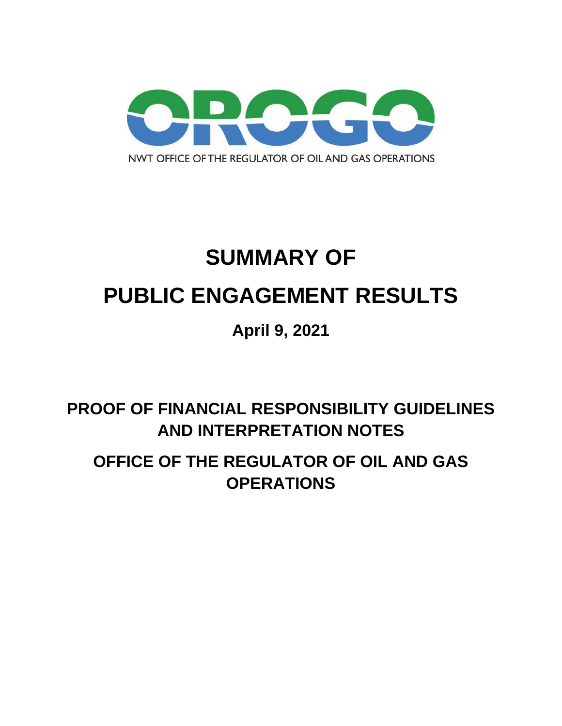

# **SUMMARY OF PUBLIC ENGAGEMENT RESULTS**

# **April 9, 2021**

**PROOF OF FINANCIAL RESPONSIBILITY GUIDELINES AND INTERPRETATION NOTES**

**OFFICE OF THE REGULATOR OF OIL AND GAS OPERATIONS**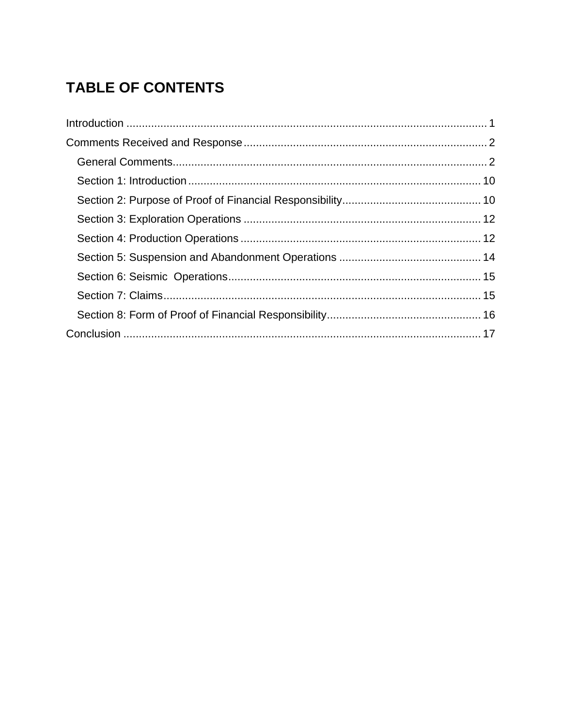# **TABLE OF CONTENTS**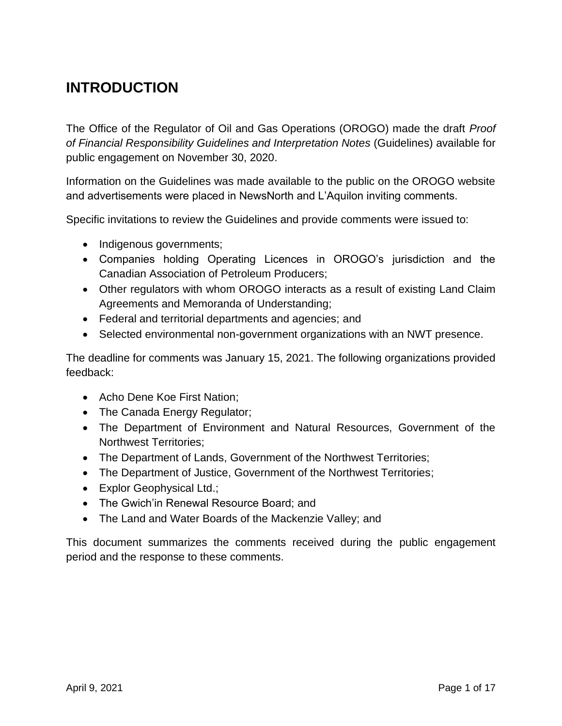## <span id="page-2-0"></span>**INTRODUCTION**

The Office of the Regulator of Oil and Gas Operations (OROGO) made the draft *Proof of Financial Responsibility Guidelines and Interpretation Notes* (Guidelines) available for public engagement on November 30, 2020.

Information on the Guidelines was made available to the public on the OROGO website and advertisements were placed in NewsNorth and L'Aquilon inviting comments.

Specific invitations to review the Guidelines and provide comments were issued to:

- Indigenous governments;
- Companies holding Operating Licences in OROGO's jurisdiction and the Canadian Association of Petroleum Producers;
- Other regulators with whom OROGO interacts as a result of existing Land Claim Agreements and Memoranda of Understanding;
- Federal and territorial departments and agencies; and
- Selected environmental non-government organizations with an NWT presence.

The deadline for comments was January 15, 2021. The following organizations provided feedback:

- Acho Dene Koe First Nation;
- The Canada Energy Regulator;
- The Department of Environment and Natural Resources, Government of the Northwest Territories;
- The Department of Lands, Government of the Northwest Territories;
- The Department of Justice, Government of the Northwest Territories;
- Explor Geophysical Ltd.;
- The Gwich'in Renewal Resource Board; and
- The Land and Water Boards of the Mackenzie Valley; and

This document summarizes the comments received during the public engagement period and the response to these comments.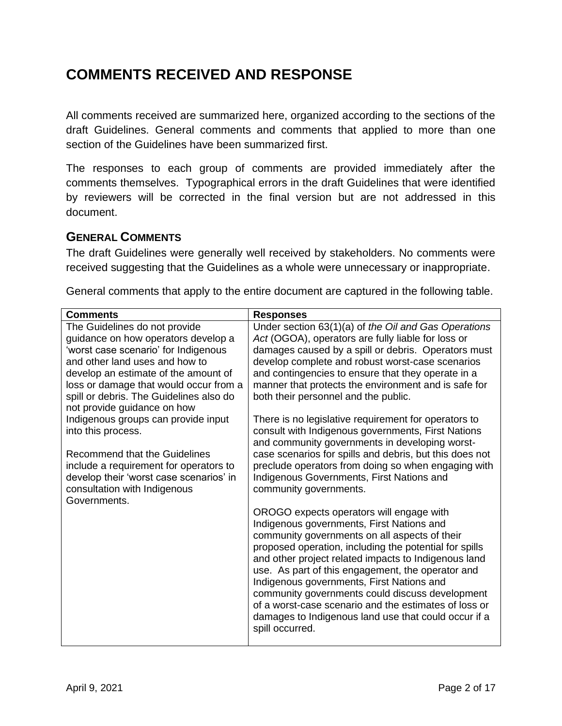## <span id="page-3-0"></span>**COMMENTS RECEIVED AND RESPONSE**

All comments received are summarized here, organized according to the sections of the draft Guidelines. General comments and comments that applied to more than one section of the Guidelines have been summarized first.

The responses to each group of comments are provided immediately after the comments themselves. Typographical errors in the draft Guidelines that were identified by reviewers will be corrected in the final version but are not addressed in this document.

#### <span id="page-3-1"></span>**GENERAL COMMENTS**

The draft Guidelines were generally well received by stakeholders. No comments were received suggesting that the Guidelines as a whole were unnecessary or inappropriate.

General comments that apply to the entire document are captured in the following table.

| <b>Comments</b>                                                                                                                                                                                                                                                             | <b>Responses</b>                                                                                                                                                                                                                                                                                                                                                                                                                                                                                                                                  |
|-----------------------------------------------------------------------------------------------------------------------------------------------------------------------------------------------------------------------------------------------------------------------------|---------------------------------------------------------------------------------------------------------------------------------------------------------------------------------------------------------------------------------------------------------------------------------------------------------------------------------------------------------------------------------------------------------------------------------------------------------------------------------------------------------------------------------------------------|
| The Guidelines do not provide<br>guidance on how operators develop a<br>'worst case scenario' for Indigenous<br>and other land uses and how to<br>develop an estimate of the amount of<br>loss or damage that would occur from a<br>spill or debris. The Guidelines also do | Under section 63(1)(a) of the Oil and Gas Operations<br>Act (OGOA), operators are fully liable for loss or<br>damages caused by a spill or debris. Operators must<br>develop complete and robust worst-case scenarios<br>and contingencies to ensure that they operate in a<br>manner that protects the environment and is safe for<br>both their personnel and the public.                                                                                                                                                                       |
| not provide guidance on how<br>Indigenous groups can provide input<br>into this process.<br>Recommend that the Guidelines<br>include a requirement for operators to<br>develop their 'worst case scenarios' in<br>consultation with Indigenous<br>Governments.              | There is no legislative requirement for operators to<br>consult with Indigenous governments, First Nations<br>and community governments in developing worst-<br>case scenarios for spills and debris, but this does not<br>preclude operators from doing so when engaging with<br>Indigenous Governments, First Nations and<br>community governments.                                                                                                                                                                                             |
|                                                                                                                                                                                                                                                                             | OROGO expects operators will engage with<br>Indigenous governments, First Nations and<br>community governments on all aspects of their<br>proposed operation, including the potential for spills<br>and other project related impacts to Indigenous land<br>use. As part of this engagement, the operator and<br>Indigenous governments, First Nations and<br>community governments could discuss development<br>of a worst-case scenario and the estimates of loss or<br>damages to Indigenous land use that could occur if a<br>spill occurred. |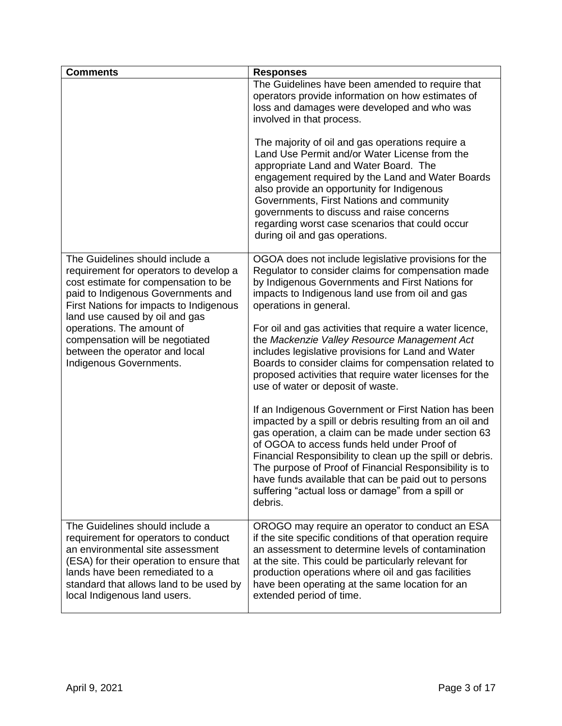| <b>Comments</b>                                                                                                                                                                                                                                                                                                                                                   | <b>Responses</b>                                                                                                                                                                                                                                                                                                                                                                                                                                                     |
|-------------------------------------------------------------------------------------------------------------------------------------------------------------------------------------------------------------------------------------------------------------------------------------------------------------------------------------------------------------------|----------------------------------------------------------------------------------------------------------------------------------------------------------------------------------------------------------------------------------------------------------------------------------------------------------------------------------------------------------------------------------------------------------------------------------------------------------------------|
|                                                                                                                                                                                                                                                                                                                                                                   | The Guidelines have been amended to require that<br>operators provide information on how estimates of<br>loss and damages were developed and who was<br>involved in that process.                                                                                                                                                                                                                                                                                    |
|                                                                                                                                                                                                                                                                                                                                                                   | The majority of oil and gas operations require a<br>Land Use Permit and/or Water License from the<br>appropriate Land and Water Board. The<br>engagement required by the Land and Water Boards<br>also provide an opportunity for Indigenous<br>Governments, First Nations and community<br>governments to discuss and raise concerns<br>regarding worst case scenarios that could occur<br>during oil and gas operations.                                           |
| The Guidelines should include a<br>requirement for operators to develop a<br>cost estimate for compensation to be<br>paid to Indigenous Governments and<br>First Nations for impacts to Indigenous<br>land use caused by oil and gas<br>operations. The amount of<br>compensation will be negotiated<br>between the operator and local<br>Indigenous Governments. | OGOA does not include legislative provisions for the<br>Regulator to consider claims for compensation made<br>by Indigenous Governments and First Nations for<br>impacts to Indigenous land use from oil and gas<br>operations in general.                                                                                                                                                                                                                           |
|                                                                                                                                                                                                                                                                                                                                                                   | For oil and gas activities that require a water licence,<br>the Mackenzie Valley Resource Management Act<br>includes legislative provisions for Land and Water<br>Boards to consider claims for compensation related to<br>proposed activities that require water licenses for the<br>use of water or deposit of waste.                                                                                                                                              |
|                                                                                                                                                                                                                                                                                                                                                                   | If an Indigenous Government or First Nation has been<br>impacted by a spill or debris resulting from an oil and<br>gas operation, a claim can be made under section 63<br>of OGOA to access funds held under Proof of<br>Financial Responsibility to clean up the spill or debris.<br>The purpose of Proof of Financial Responsibility is to<br>have funds available that can be paid out to persons<br>suffering "actual loss or damage" from a spill or<br>debris. |
| The Guidelines should include a<br>requirement for operators to conduct<br>an environmental site assessment<br>(ESA) for their operation to ensure that<br>lands have been remediated to a<br>standard that allows land to be used by<br>local Indigenous land users.                                                                                             | OROGO may require an operator to conduct an ESA<br>if the site specific conditions of that operation require<br>an assessment to determine levels of contamination<br>at the site. This could be particularly relevant for<br>production operations where oil and gas facilities<br>have been operating at the same location for an<br>extended period of time.                                                                                                      |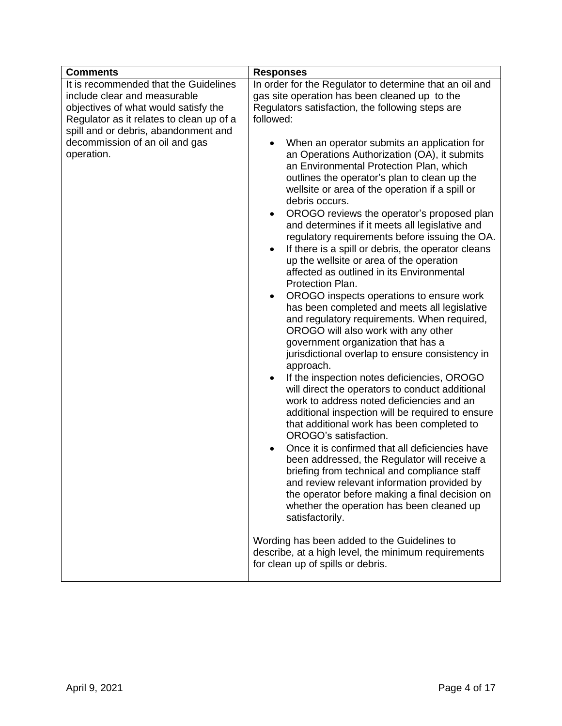| <b>Comments</b>                              | <b>Responses</b>                                                                                                                                                                                                                                                                                                                                                                                                                                                                                                                                                                                                                                                                                                                                                                                                                                                                                                                                                            |
|----------------------------------------------|-----------------------------------------------------------------------------------------------------------------------------------------------------------------------------------------------------------------------------------------------------------------------------------------------------------------------------------------------------------------------------------------------------------------------------------------------------------------------------------------------------------------------------------------------------------------------------------------------------------------------------------------------------------------------------------------------------------------------------------------------------------------------------------------------------------------------------------------------------------------------------------------------------------------------------------------------------------------------------|
| It is recommended that the Guidelines        | In order for the Regulator to determine that an oil and                                                                                                                                                                                                                                                                                                                                                                                                                                                                                                                                                                                                                                                                                                                                                                                                                                                                                                                     |
| include clear and measurable                 | gas site operation has been cleaned up to the                                                                                                                                                                                                                                                                                                                                                                                                                                                                                                                                                                                                                                                                                                                                                                                                                                                                                                                               |
| objectives of what would satisfy the         | Regulators satisfaction, the following steps are                                                                                                                                                                                                                                                                                                                                                                                                                                                                                                                                                                                                                                                                                                                                                                                                                                                                                                                            |
| Regulator as it relates to clean up of a     | followed:                                                                                                                                                                                                                                                                                                                                                                                                                                                                                                                                                                                                                                                                                                                                                                                                                                                                                                                                                                   |
| spill and or debris, abandonment and         |                                                                                                                                                                                                                                                                                                                                                                                                                                                                                                                                                                                                                                                                                                                                                                                                                                                                                                                                                                             |
|                                              |                                                                                                                                                                                                                                                                                                                                                                                                                                                                                                                                                                                                                                                                                                                                                                                                                                                                                                                                                                             |
| decommission of an oil and gas<br>operation. | When an operator submits an application for<br>an Operations Authorization (OA), it submits<br>an Environmental Protection Plan, which<br>outlines the operator's plan to clean up the<br>wellsite or area of the operation if a spill or<br>debris occurs.<br>OROGO reviews the operator's proposed plan<br>$\bullet$<br>and determines if it meets all legislative and<br>regulatory requirements before issuing the OA.<br>If there is a spill or debris, the operator cleans<br>$\bullet$<br>up the wellsite or area of the operation<br>affected as outlined in its Environmental<br>Protection Plan.<br>OROGO inspects operations to ensure work<br>$\bullet$<br>has been completed and meets all legislative<br>and regulatory requirements. When required,<br>OROGO will also work with any other<br>government organization that has a<br>jurisdictional overlap to ensure consistency in<br>approach.<br>If the inspection notes deficiencies, OROGO<br>$\bullet$ |
|                                              | will direct the operators to conduct additional<br>work to address noted deficiencies and an<br>additional inspection will be required to ensure<br>that additional work has been completed to<br>OROGO's satisfaction.<br>Once it is confirmed that all deficiencies have<br>$\bullet$<br>been addressed, the Regulator will receive a<br>briefing from technical and compliance staff<br>and review relevant information provided by<br>the operator before making a final decision on<br>whether the operation has been cleaned up<br>satisfactorily.                                                                                                                                                                                                                                                                                                                                                                                                                    |
|                                              | Wording has been added to the Guidelines to<br>describe, at a high level, the minimum requirements<br>for clean up of spills or debris.                                                                                                                                                                                                                                                                                                                                                                                                                                                                                                                                                                                                                                                                                                                                                                                                                                     |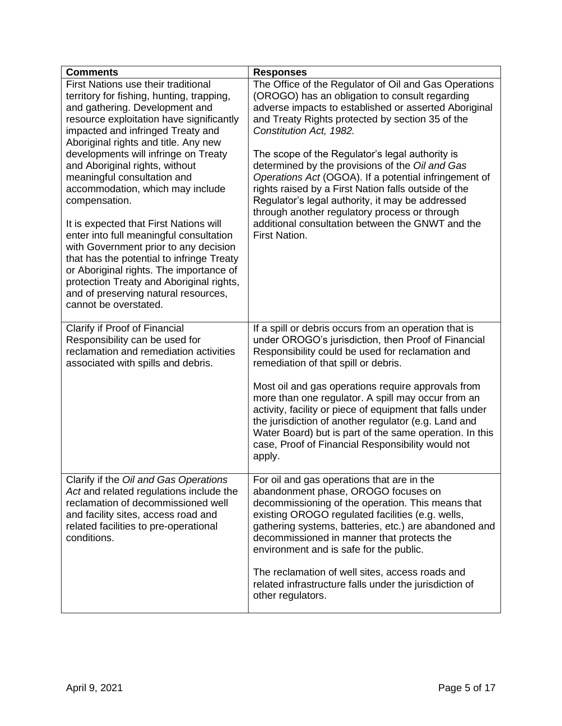| <b>Comments</b>                                                                                                                                                                                                                                                                                                                                                                                                                                                                                                                                                                                                                                                                                                                              | <b>Responses</b>                                                                                                                                                                                                                                                                                                                                                                                                                                                                                                                                                                                                                                 |
|----------------------------------------------------------------------------------------------------------------------------------------------------------------------------------------------------------------------------------------------------------------------------------------------------------------------------------------------------------------------------------------------------------------------------------------------------------------------------------------------------------------------------------------------------------------------------------------------------------------------------------------------------------------------------------------------------------------------------------------------|--------------------------------------------------------------------------------------------------------------------------------------------------------------------------------------------------------------------------------------------------------------------------------------------------------------------------------------------------------------------------------------------------------------------------------------------------------------------------------------------------------------------------------------------------------------------------------------------------------------------------------------------------|
| First Nations use their traditional<br>territory for fishing, hunting, trapping,<br>and gathering. Development and<br>resource exploitation have significantly<br>impacted and infringed Treaty and<br>Aboriginal rights and title. Any new<br>developments will infringe on Treaty<br>and Aboriginal rights, without<br>meaningful consultation and<br>accommodation, which may include<br>compensation.<br>It is expected that First Nations will<br>enter into full meaningful consultation<br>with Government prior to any decision<br>that has the potential to infringe Treaty<br>or Aboriginal rights. The importance of<br>protection Treaty and Aboriginal rights,<br>and of preserving natural resources,<br>cannot be overstated. | The Office of the Regulator of Oil and Gas Operations<br>(OROGO) has an obligation to consult regarding<br>adverse impacts to established or asserted Aboriginal<br>and Treaty Rights protected by section 35 of the<br>Constitution Act, 1982.<br>The scope of the Regulator's legal authority is<br>determined by the provisions of the Oil and Gas<br>Operations Act (OGOA). If a potential infringement of<br>rights raised by a First Nation falls outside of the<br>Regulator's legal authority, it may be addressed<br>through another regulatory process or through<br>additional consultation between the GNWT and the<br>First Nation. |
| Clarify if Proof of Financial<br>Responsibility can be used for<br>reclamation and remediation activities<br>associated with spills and debris.                                                                                                                                                                                                                                                                                                                                                                                                                                                                                                                                                                                              | If a spill or debris occurs from an operation that is<br>under OROGO's jurisdiction, then Proof of Financial<br>Responsibility could be used for reclamation and<br>remediation of that spill or debris.<br>Most oil and gas operations require approvals from<br>more than one regulator. A spill may occur from an<br>activity, facility or piece of equipment that falls under<br>the jurisdiction of another regulator (e.g. Land and<br>Water Board) but is part of the same operation. In this<br>case, Proof of Financial Responsibility would not<br>apply.                                                                              |
| Clarify if the Oil and Gas Operations<br>Act and related regulations include the<br>reclamation of decommissioned well<br>and facility sites, access road and<br>related facilities to pre-operational<br>conditions.                                                                                                                                                                                                                                                                                                                                                                                                                                                                                                                        | For oil and gas operations that are in the<br>abandonment phase, OROGO focuses on<br>decommissioning of the operation. This means that<br>existing OROGO regulated facilities (e.g. wells,<br>gathering systems, batteries, etc.) are abandoned and<br>decommissioned in manner that protects the<br>environment and is safe for the public.<br>The reclamation of well sites, access roads and<br>related infrastructure falls under the jurisdiction of<br>other regulators.                                                                                                                                                                   |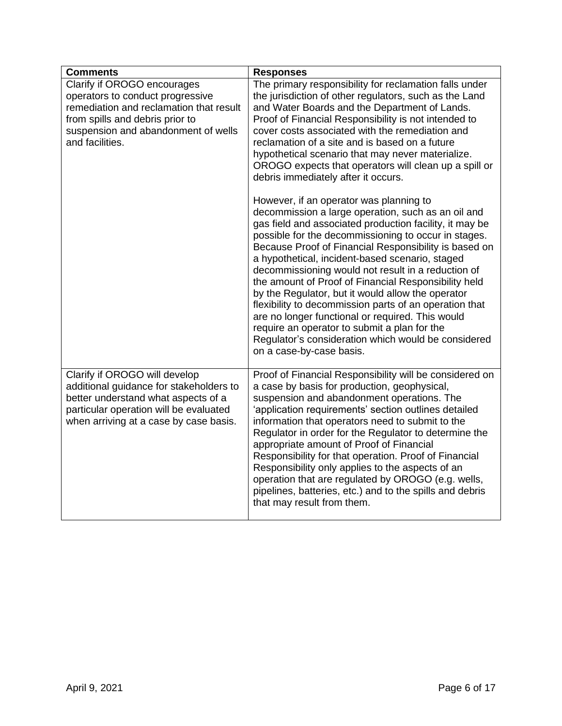| <b>Comments</b>                                                                                                                                                                                         | <b>Responses</b>                                                                                                                                                                                                                                                                                                                                                                                                                                                                                                                                                                                                                                                                                                                                                                                                                                                                                                                                                                                                                                                                                                                                     |
|---------------------------------------------------------------------------------------------------------------------------------------------------------------------------------------------------------|------------------------------------------------------------------------------------------------------------------------------------------------------------------------------------------------------------------------------------------------------------------------------------------------------------------------------------------------------------------------------------------------------------------------------------------------------------------------------------------------------------------------------------------------------------------------------------------------------------------------------------------------------------------------------------------------------------------------------------------------------------------------------------------------------------------------------------------------------------------------------------------------------------------------------------------------------------------------------------------------------------------------------------------------------------------------------------------------------------------------------------------------------|
| Clarify if OROGO encourages<br>operators to conduct progressive<br>remediation and reclamation that result<br>from spills and debris prior to<br>suspension and abandonment of wells<br>and facilities. | The primary responsibility for reclamation falls under<br>the jurisdiction of other regulators, such as the Land<br>and Water Boards and the Department of Lands.<br>Proof of Financial Responsibility is not intended to<br>cover costs associated with the remediation and<br>reclamation of a site and is based on a future<br>hypothetical scenario that may never materialize.<br>OROGO expects that operators will clean up a spill or<br>debris immediately after it occurs.<br>However, if an operator was planning to<br>decommission a large operation, such as an oil and<br>gas field and associated production facility, it may be<br>possible for the decommissioning to occur in stages.<br>Because Proof of Financial Responsibility is based on<br>a hypothetical, incident-based scenario, staged<br>decommissioning would not result in a reduction of<br>the amount of Proof of Financial Responsibility held<br>by the Regulator, but it would allow the operator<br>flexibility to decommission parts of an operation that<br>are no longer functional or required. This would<br>require an operator to submit a plan for the |
|                                                                                                                                                                                                         | Regulator's consideration which would be considered<br>on a case-by-case basis.                                                                                                                                                                                                                                                                                                                                                                                                                                                                                                                                                                                                                                                                                                                                                                                                                                                                                                                                                                                                                                                                      |
| Clarify if OROGO will develop<br>additional guidance for stakeholders to<br>better understand what aspects of a<br>particular operation will be evaluated<br>when arriving at a case by case basis.     | Proof of Financial Responsibility will be considered on<br>a case by basis for production, geophysical,<br>suspension and abandonment operations. The<br>'application requirements' section outlines detailed<br>information that operators need to submit to the<br>Regulator in order for the Regulator to determine the<br>appropriate amount of Proof of Financial<br>Responsibility for that operation. Proof of Financial<br>Responsibility only applies to the aspects of an<br>operation that are regulated by OROGO (e.g. wells,<br>pipelines, batteries, etc.) and to the spills and debris<br>that may result from them.                                                                                                                                                                                                                                                                                                                                                                                                                                                                                                                  |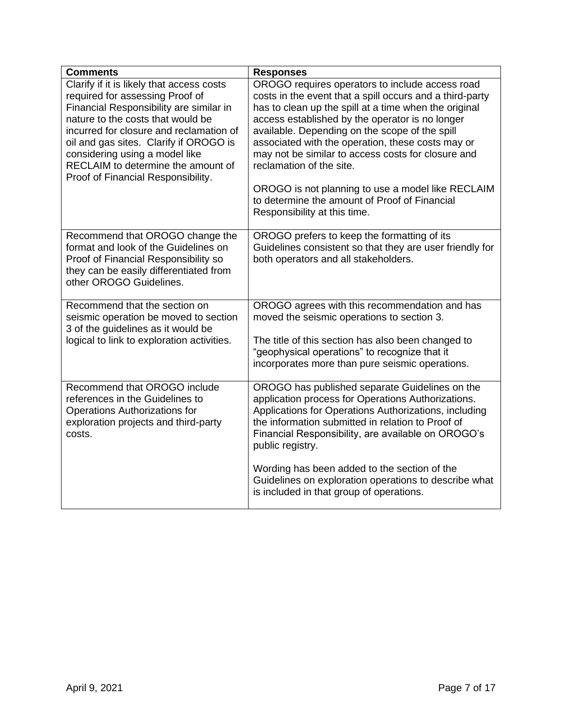| <b>Comments</b>                                                                                                                                                                                                                                                                                                                                                 | <b>Responses</b>                                                                                                                                                                                                                                                                                                                                                                                                                                                                                                                                       |
|-----------------------------------------------------------------------------------------------------------------------------------------------------------------------------------------------------------------------------------------------------------------------------------------------------------------------------------------------------------------|--------------------------------------------------------------------------------------------------------------------------------------------------------------------------------------------------------------------------------------------------------------------------------------------------------------------------------------------------------------------------------------------------------------------------------------------------------------------------------------------------------------------------------------------------------|
| Clarify if it is likely that access costs<br>required for assessing Proof of<br>Financial Responsibility are similar in<br>nature to the costs that would be<br>incurred for closure and reclamation of<br>oil and gas sites. Clarify if OROGO is<br>considering using a model like<br>RECLAIM to determine the amount of<br>Proof of Financial Responsibility. | OROGO requires operators to include access road<br>costs in the event that a spill occurs and a third-party<br>has to clean up the spill at a time when the original<br>access established by the operator is no longer<br>available. Depending on the scope of the spill<br>associated with the operation, these costs may or<br>may not be similar to access costs for closure and<br>reclamation of the site.<br>OROGO is not planning to use a model like RECLAIM<br>to determine the amount of Proof of Financial<br>Responsibility at this time. |
|                                                                                                                                                                                                                                                                                                                                                                 |                                                                                                                                                                                                                                                                                                                                                                                                                                                                                                                                                        |
| Recommend that OROGO change the<br>format and look of the Guidelines on<br>Proof of Financial Responsibility so<br>they can be easily differentiated from<br>other OROGO Guidelines.                                                                                                                                                                            | OROGO prefers to keep the formatting of its<br>Guidelines consistent so that they are user friendly for<br>both operators and all stakeholders.                                                                                                                                                                                                                                                                                                                                                                                                        |
| Recommend that the section on<br>seismic operation be moved to section<br>3 of the guidelines as it would be                                                                                                                                                                                                                                                    | OROGO agrees with this recommendation and has<br>moved the seismic operations to section 3.                                                                                                                                                                                                                                                                                                                                                                                                                                                            |
| logical to link to exploration activities.                                                                                                                                                                                                                                                                                                                      | The title of this section has also been changed to<br>"geophysical operations" to recognize that it<br>incorporates more than pure seismic operations.                                                                                                                                                                                                                                                                                                                                                                                                 |
| Recommend that OROGO include<br>references in the Guidelines to<br><b>Operations Authorizations for</b><br>exploration projects and third-party<br>costs.                                                                                                                                                                                                       | OROGO has published separate Guidelines on the<br>application process for Operations Authorizations.<br>Applications for Operations Authorizations, including<br>the information submitted in relation to Proof of<br>Financial Responsibility, are available on OROGO's<br>public registry.                                                                                                                                                                                                                                                           |
|                                                                                                                                                                                                                                                                                                                                                                 | Wording has been added to the section of the<br>Guidelines on exploration operations to describe what<br>is included in that group of operations.                                                                                                                                                                                                                                                                                                                                                                                                      |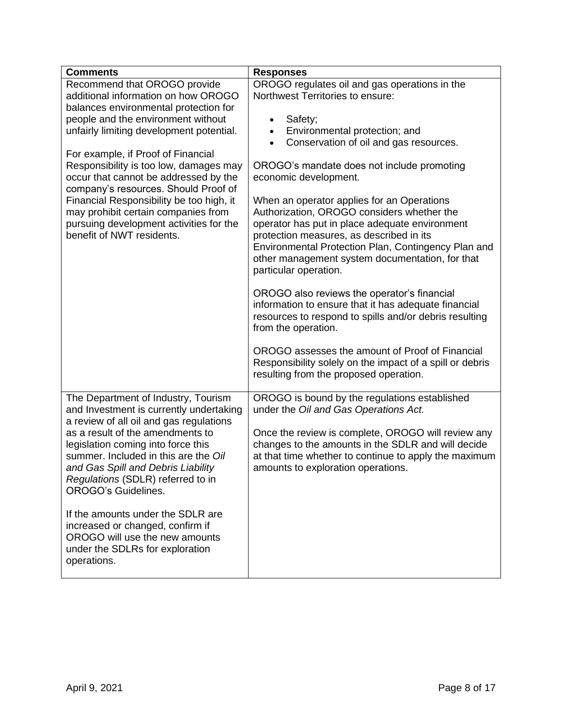| <b>Comments</b>                                                                    | <b>Responses</b>                                                                           |
|------------------------------------------------------------------------------------|--------------------------------------------------------------------------------------------|
| Recommend that OROGO provide                                                       | OROGO regulates oil and gas operations in the                                              |
| additional information on how OROGO                                                | Northwest Territories to ensure:                                                           |
| balances environmental protection for                                              |                                                                                            |
| people and the environment without<br>unfairly limiting development potential.     | Safety;<br>$\bullet$<br>Environmental protection; and<br>$\bullet$                         |
|                                                                                    | Conservation of oil and gas resources.<br>$\bullet$                                        |
| For example, if Proof of Financial                                                 |                                                                                            |
| Responsibility is too low, damages may                                             | OROGO's mandate does not include promoting                                                 |
| occur that cannot be addressed by the                                              | economic development.                                                                      |
| company's resources. Should Proof of                                               |                                                                                            |
| Financial Responsibility be too high, it                                           | When an operator applies for an Operations                                                 |
| may prohibit certain companies from                                                | Authorization, OROGO considers whether the                                                 |
| pursuing development activities for the<br>benefit of NWT residents.               | operator has put in place adequate environment<br>protection measures, as described in its |
|                                                                                    | Environmental Protection Plan, Contingency Plan and                                        |
|                                                                                    | other management system documentation, for that                                            |
|                                                                                    | particular operation.                                                                      |
|                                                                                    |                                                                                            |
|                                                                                    | OROGO also reviews the operator's financial                                                |
|                                                                                    | information to ensure that it has adequate financial                                       |
|                                                                                    | resources to respond to spills and/or debris resulting<br>from the operation.              |
|                                                                                    |                                                                                            |
|                                                                                    | OROGO assesses the amount of Proof of Financial                                            |
|                                                                                    | Responsibility solely on the impact of a spill or debris                                   |
|                                                                                    | resulting from the proposed operation.                                                     |
|                                                                                    |                                                                                            |
| The Department of Industry, Tourism                                                | OROGO is bound by the regulations established                                              |
| and Investment is currently undertaking<br>a review of all oil and gas regulations | under the Oil and Gas Operations Act.                                                      |
| as a result of the amendments to                                                   | Once the review is complete, OROGO will review any                                         |
| legislation coming into force this                                                 | changes to the amounts in the SDLR and will decide                                         |
| summer. Included in this are the Oil                                               | at that time whether to continue to apply the maximum                                      |
| and Gas Spill and Debris Liability                                                 | amounts to exploration operations.                                                         |
| Regulations (SDLR) referred to in                                                  |                                                                                            |
| <b>OROGO's Guidelines.</b>                                                         |                                                                                            |
| If the amounts under the SDLR are                                                  |                                                                                            |
| increased or changed, confirm if                                                   |                                                                                            |
| OROGO will use the new amounts                                                     |                                                                                            |
| under the SDLRs for exploration                                                    |                                                                                            |
| operations.                                                                        |                                                                                            |
|                                                                                    |                                                                                            |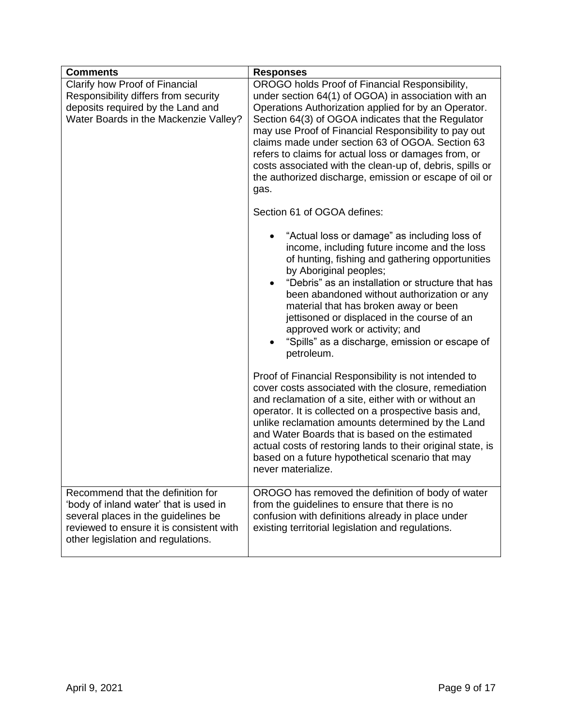| <b>Comments</b>                                                                                                                                                                                      | <b>Responses</b>                                                                                                                                                                                                                                                                                                                                                                                                                                                                                                                                                                                                                                                                                                                                                                                                                                                                                                                                                                                                                                                                                                                                |
|------------------------------------------------------------------------------------------------------------------------------------------------------------------------------------------------------|-------------------------------------------------------------------------------------------------------------------------------------------------------------------------------------------------------------------------------------------------------------------------------------------------------------------------------------------------------------------------------------------------------------------------------------------------------------------------------------------------------------------------------------------------------------------------------------------------------------------------------------------------------------------------------------------------------------------------------------------------------------------------------------------------------------------------------------------------------------------------------------------------------------------------------------------------------------------------------------------------------------------------------------------------------------------------------------------------------------------------------------------------|
| Clarify how Proof of Financial<br>Responsibility differs from security<br>deposits required by the Land and<br>Water Boards in the Mackenzie Valley?                                                 | OROGO holds Proof of Financial Responsibility,<br>under section 64(1) of OGOA) in association with an<br>Operations Authorization applied for by an Operator.<br>Section 64(3) of OGOA indicates that the Regulator<br>may use Proof of Financial Responsibility to pay out<br>claims made under section 63 of OGOA. Section 63<br>refers to claims for actual loss or damages from, or<br>costs associated with the clean-up of, debris, spills or<br>the authorized discharge, emission or escape of oil or<br>gas.<br>Section 61 of OGOA defines:<br>"Actual loss or damage" as including loss of<br>income, including future income and the loss<br>of hunting, fishing and gathering opportunities<br>by Aboriginal peoples;<br>"Debris" as an installation or structure that has<br>been abandoned without authorization or any<br>material that has broken away or been<br>jettisoned or displaced in the course of an<br>approved work or activity; and<br>"Spills" as a discharge, emission or escape of<br>petroleum.<br>Proof of Financial Responsibility is not intended to<br>cover costs associated with the closure, remediation |
|                                                                                                                                                                                                      | and reclamation of a site, either with or without an<br>operator. It is collected on a prospective basis and,<br>unlike reclamation amounts determined by the Land<br>and Water Boards that is based on the estimated<br>actual costs of restoring lands to their original state, is<br>based on a future hypothetical scenario that may<br>never materialize.                                                                                                                                                                                                                                                                                                                                                                                                                                                                                                                                                                                                                                                                                                                                                                                  |
| Recommend that the definition for<br>'body of inland water' that is used in<br>several places in the guidelines be<br>reviewed to ensure it is consistent with<br>other legislation and regulations. | OROGO has removed the definition of body of water<br>from the guidelines to ensure that there is no<br>confusion with definitions already in place under<br>existing territorial legislation and regulations.                                                                                                                                                                                                                                                                                                                                                                                                                                                                                                                                                                                                                                                                                                                                                                                                                                                                                                                                   |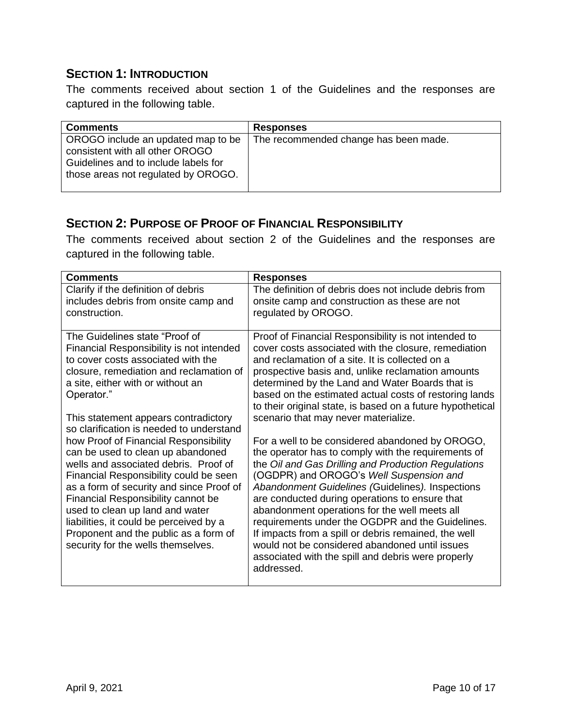#### <span id="page-11-0"></span>**SECTION 1: INTRODUCTION**

The comments received about section 1 of the Guidelines and the responses are captured in the following table.

| <b>Comments</b>                                                                                                                                      | <b>Responses</b>                      |
|------------------------------------------------------------------------------------------------------------------------------------------------------|---------------------------------------|
| OROGO include an updated map to be<br>consistent with all other OROGO<br>Guidelines and to include labels for<br>those areas not regulated by OROGO. | The recommended change has been made. |

#### <span id="page-11-1"></span>**SECTION 2: PURPOSE OF PROOF OF FINANCIAL RESPONSIBILITY**

The comments received about section 2 of the Guidelines and the responses are captured in the following table.

| <b>Comments</b>                          | <b>Responses</b>                                           |
|------------------------------------------|------------------------------------------------------------|
| Clarify if the definition of debris      | The definition of debris does not include debris from      |
| includes debris from onsite camp and     | onsite camp and construction as these are not              |
| construction.                            | regulated by OROGO.                                        |
|                                          |                                                            |
| The Guidelines state "Proof of           | Proof of Financial Responsibility is not intended to       |
| Financial Responsibility is not intended | cover costs associated with the closure, remediation       |
| to cover costs associated with the       | and reclamation of a site. It is collected on a            |
| closure, remediation and reclamation of  | prospective basis and, unlike reclamation amounts          |
| a site, either with or without an        | determined by the Land and Water Boards that is            |
| Operator."                               | based on the estimated actual costs of restoring lands     |
|                                          | to their original state, is based on a future hypothetical |
| This statement appears contradictory     | scenario that may never materialize.                       |
| so clarification is needed to understand |                                                            |
| how Proof of Financial Responsibility    | For a well to be considered abandoned by OROGO,            |
| can be used to clean up abandoned        | the operator has to comply with the requirements of        |
| wells and associated debris. Proof of    | the Oil and Gas Drilling and Production Regulations        |
| Financial Responsibility could be seen   | (OGDPR) and OROGO's Well Suspension and                    |
| as a form of security and since Proof of | Abandonment Guidelines (Guidelines). Inspections           |
| Financial Responsibility cannot be       | are conducted during operations to ensure that             |
| used to clean up land and water          | abandonment operations for the well meets all              |
| liabilities, it could be perceived by a  | requirements under the OGDPR and the Guidelines.           |
| Proponent and the public as a form of    | If impacts from a spill or debris remained, the well       |
| security for the wells themselves.       | would not be considered abandoned until issues             |
|                                          |                                                            |
|                                          | associated with the spill and debris were properly         |
|                                          | addressed.                                                 |
|                                          |                                                            |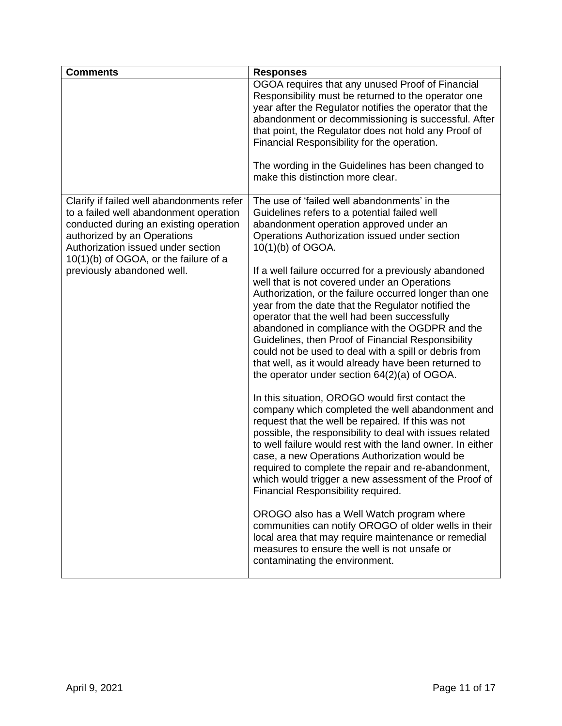| <b>Comments</b>                                                                                                                                                                                    | <b>Responses</b>                                                                                                                                                                                                                                                                                                                                                                                                                                                                                                                               |
|----------------------------------------------------------------------------------------------------------------------------------------------------------------------------------------------------|------------------------------------------------------------------------------------------------------------------------------------------------------------------------------------------------------------------------------------------------------------------------------------------------------------------------------------------------------------------------------------------------------------------------------------------------------------------------------------------------------------------------------------------------|
|                                                                                                                                                                                                    | OGOA requires that any unused Proof of Financial<br>Responsibility must be returned to the operator one<br>year after the Regulator notifies the operator that the<br>abandonment or decommissioning is successful. After<br>that point, the Regulator does not hold any Proof of<br>Financial Responsibility for the operation.                                                                                                                                                                                                               |
|                                                                                                                                                                                                    | The wording in the Guidelines has been changed to<br>make this distinction more clear.                                                                                                                                                                                                                                                                                                                                                                                                                                                         |
| Clarify if failed well abandonments refer<br>to a failed well abandonment operation<br>conducted during an existing operation<br>authorized by an Operations<br>Authorization issued under section | The use of 'failed well abandonments' in the<br>Guidelines refers to a potential failed well<br>abandonment operation approved under an<br>Operations Authorization issued under section<br>10(1)(b) of OGOA.                                                                                                                                                                                                                                                                                                                                  |
| 10(1)(b) of OGOA, or the failure of a<br>previously abandoned well.                                                                                                                                | If a well failure occurred for a previously abandoned<br>well that is not covered under an Operations<br>Authorization, or the failure occurred longer than one<br>year from the date that the Regulator notified the<br>operator that the well had been successfully<br>abandoned in compliance with the OGDPR and the<br>Guidelines, then Proof of Financial Responsibility<br>could not be used to deal with a spill or debris from<br>that well, as it would already have been returned to<br>the operator under section 64(2)(a) of OGOA. |
|                                                                                                                                                                                                    | In this situation, OROGO would first contact the<br>company which completed the well abandonment and<br>request that the well be repaired. If this was not<br>possible, the responsibility to deal with issues related<br>to well failure would rest with the land owner. In either<br>case, a new Operations Authorization would be<br>required to complete the repair and re-abandonment,<br>which would trigger a new assessment of the Proof of<br>Financial Responsibility required.                                                      |
|                                                                                                                                                                                                    | OROGO also has a Well Watch program where<br>communities can notify OROGO of older wells in their<br>local area that may require maintenance or remedial<br>measures to ensure the well is not unsafe or<br>contaminating the environment.                                                                                                                                                                                                                                                                                                     |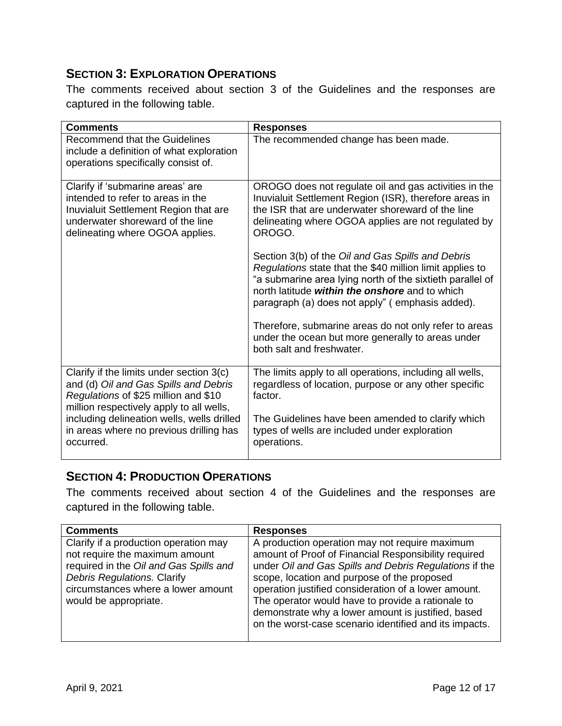#### <span id="page-13-0"></span>**SECTION 3: EXPLORATION OPERATIONS**

The comments received about section 3 of the Guidelines and the responses are captured in the following table.

| <b>Comments</b>                                                                                                                                                                       | <b>Responses</b>                                                                                                                                                                                                                                                                |
|---------------------------------------------------------------------------------------------------------------------------------------------------------------------------------------|---------------------------------------------------------------------------------------------------------------------------------------------------------------------------------------------------------------------------------------------------------------------------------|
| Recommend that the Guidelines<br>include a definition of what exploration<br>operations specifically consist of.                                                                      | The recommended change has been made.                                                                                                                                                                                                                                           |
| Clarify if 'submarine areas' are<br>intended to refer to areas in the<br>Inuvialuit Settlement Region that are<br>underwater shoreward of the line<br>delineating where OGOA applies. | OROGO does not regulate oil and gas activities in the<br>Inuvialuit Settlement Region (ISR), therefore areas in<br>the ISR that are underwater shoreward of the line<br>delineating where OGOA applies are not regulated by<br>OROGO.                                           |
|                                                                                                                                                                                       | Section 3(b) of the Oil and Gas Spills and Debris<br>Regulations state that the \$40 million limit applies to<br>"a submarine area lying north of the sixtieth parallel of<br>north latitude within the onshore and to which<br>paragraph (a) does not apply" (emphasis added). |
|                                                                                                                                                                                       | Therefore, submarine areas do not only refer to areas<br>under the ocean but more generally to areas under<br>both salt and freshwater.                                                                                                                                         |
| Clarify if the limits under section 3(c)<br>and (d) Oil and Gas Spills and Debris<br>Regulations of \$25 million and \$10<br>million respectively apply to all wells,                 | The limits apply to all operations, including all wells,<br>regardless of location, purpose or any other specific<br>factor.                                                                                                                                                    |
| including delineation wells, wells drilled<br>in areas where no previous drilling has<br>occurred.                                                                                    | The Guidelines have been amended to clarify which<br>types of wells are included under exploration<br>operations.                                                                                                                                                               |

#### <span id="page-13-1"></span>**SECTION 4: PRODUCTION OPERATIONS**

The comments received about section 4 of the Guidelines and the responses are captured in the following table.

| <b>Comments</b>                                                                                                                                                                                                 | <b>Responses</b>                                                                                                                                                                                                                                                                                                                                                                                                                             |
|-----------------------------------------------------------------------------------------------------------------------------------------------------------------------------------------------------------------|----------------------------------------------------------------------------------------------------------------------------------------------------------------------------------------------------------------------------------------------------------------------------------------------------------------------------------------------------------------------------------------------------------------------------------------------|
| Clarify if a production operation may<br>not require the maximum amount<br>required in the Oil and Gas Spills and<br>Debris Regulations. Clarify<br>circumstances where a lower amount<br>would be appropriate. | A production operation may not require maximum<br>amount of Proof of Financial Responsibility required<br>under Oil and Gas Spills and Debris Regulations if the<br>scope, location and purpose of the proposed<br>operation justified consideration of a lower amount.<br>The operator would have to provide a rationale to<br>demonstrate why a lower amount is justified, based<br>on the worst-case scenario identified and its impacts. |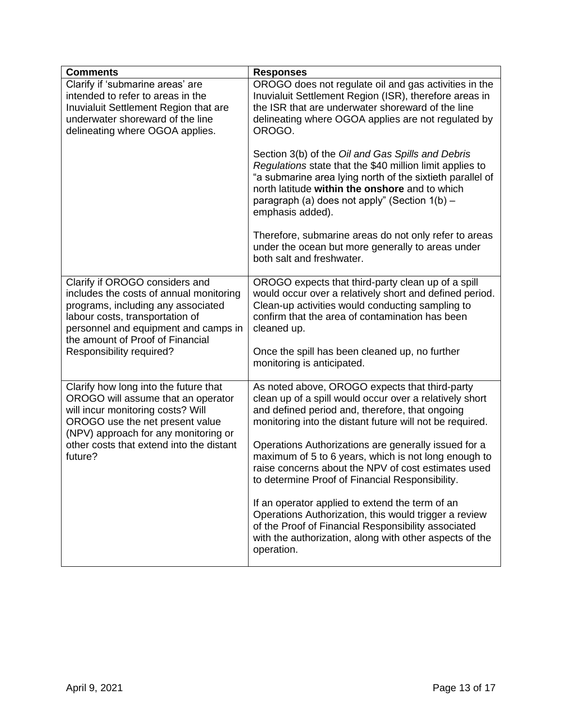| <b>Comments</b>                                                                                                                                                                                                                         | <b>Responses</b>                                                                                                                                                                                                                                                                                                                                       |
|-----------------------------------------------------------------------------------------------------------------------------------------------------------------------------------------------------------------------------------------|--------------------------------------------------------------------------------------------------------------------------------------------------------------------------------------------------------------------------------------------------------------------------------------------------------------------------------------------------------|
| Clarify if 'submarine areas' are<br>intended to refer to areas in the<br>Inuvialuit Settlement Region that are<br>underwater shoreward of the line<br>delineating where OGOA applies.                                                   | OROGO does not regulate oil and gas activities in the<br>Inuvialuit Settlement Region (ISR), therefore areas in<br>the ISR that are underwater shoreward of the line<br>delineating where OGOA applies are not regulated by<br>OROGO.<br>Section 3(b) of the Oil and Gas Spills and Debris<br>Regulations state that the \$40 million limit applies to |
|                                                                                                                                                                                                                                         | "a submarine area lying north of the sixtieth parallel of<br>north latitude within the onshore and to which<br>paragraph (a) does not apply" (Section 1(b) -<br>emphasis added).                                                                                                                                                                       |
|                                                                                                                                                                                                                                         | Therefore, submarine areas do not only refer to areas<br>under the ocean but more generally to areas under<br>both salt and freshwater.                                                                                                                                                                                                                |
| Clarify if OROGO considers and<br>includes the costs of annual monitoring<br>programs, including any associated<br>labour costs, transportation of<br>personnel and equipment and camps in<br>the amount of Proof of Financial          | OROGO expects that third-party clean up of a spill<br>would occur over a relatively short and defined period.<br>Clean-up activities would conducting sampling to<br>confirm that the area of contamination has been<br>cleaned up.                                                                                                                    |
| Responsibility required?                                                                                                                                                                                                                | Once the spill has been cleaned up, no further<br>monitoring is anticipated.                                                                                                                                                                                                                                                                           |
| Clarify how long into the future that<br>OROGO will assume that an operator<br>will incur monitoring costs? Will<br>OROGO use the net present value<br>(NPV) approach for any monitoring or<br>other costs that extend into the distant | As noted above, OROGO expects that third-party<br>clean up of a spill would occur over a relatively short<br>and defined period and, therefore, that ongoing<br>monitoring into the distant future will not be required.<br>Operations Authorizations are generally issued for a                                                                       |
| future?                                                                                                                                                                                                                                 | maximum of 5 to 6 years, which is not long enough to<br>raise concerns about the NPV of cost estimates used<br>to determine Proof of Financial Responsibility.                                                                                                                                                                                         |
|                                                                                                                                                                                                                                         | If an operator applied to extend the term of an<br>Operations Authorization, this would trigger a review<br>of the Proof of Financial Responsibility associated<br>with the authorization, along with other aspects of the<br>operation.                                                                                                               |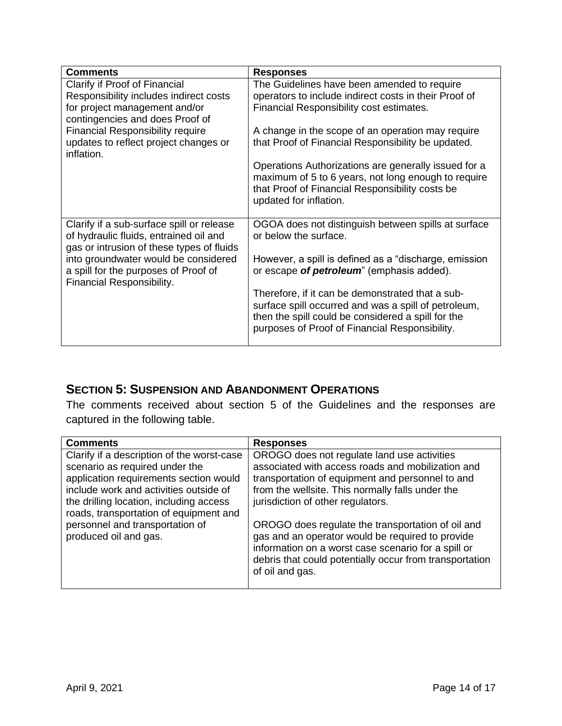| <b>Comments</b>                                                                                                                  | <b>Responses</b>                                                                                                                                                                                                 |
|----------------------------------------------------------------------------------------------------------------------------------|------------------------------------------------------------------------------------------------------------------------------------------------------------------------------------------------------------------|
| Clarify if Proof of Financial                                                                                                    | The Guidelines have been amended to require                                                                                                                                                                      |
| Responsibility includes indirect costs                                                                                           | operators to include indirect costs in their Proof of                                                                                                                                                            |
| for project management and/or<br>contingencies and does Proof of                                                                 | Financial Responsibility cost estimates.                                                                                                                                                                         |
| <b>Financial Responsibility require</b>                                                                                          | A change in the scope of an operation may require                                                                                                                                                                |
| updates to reflect project changes or<br>inflation.                                                                              | that Proof of Financial Responsibility be updated.                                                                                                                                                               |
|                                                                                                                                  | Operations Authorizations are generally issued for a<br>maximum of 5 to 6 years, not long enough to require<br>that Proof of Financial Responsibility costs be<br>updated for inflation.                         |
| Clarify if a sub-surface spill or release<br>of hydraulic fluids, entrained oil and<br>gas or intrusion of these types of fluids | OGOA does not distinguish between spills at surface<br>or below the surface.                                                                                                                                     |
| into groundwater would be considered<br>a spill for the purposes of Proof of<br>Financial Responsibility.                        | However, a spill is defined as a "discharge, emission<br>or escape of <i>petroleum</i> " (emphasis added).                                                                                                       |
|                                                                                                                                  | Therefore, if it can be demonstrated that a sub-<br>surface spill occurred and was a spill of petroleum,<br>then the spill could be considered a spill for the<br>purposes of Proof of Financial Responsibility. |

#### <span id="page-15-0"></span>**SECTION 5: SUSPENSION AND ABANDONMENT OPERATIONS**

The comments received about section 5 of the Guidelines and the responses are captured in the following table.

| <b>Comments</b>                                                                                                                                                                                                                                       | <b>Responses</b>                                                                                                                                                                                                                              |
|-------------------------------------------------------------------------------------------------------------------------------------------------------------------------------------------------------------------------------------------------------|-----------------------------------------------------------------------------------------------------------------------------------------------------------------------------------------------------------------------------------------------|
| Clarify if a description of the worst-case<br>scenario as required under the<br>application requirements section would<br>include work and activities outside of<br>the drilling location, including access<br>roads, transportation of equipment and | OROGO does not regulate land use activities<br>associated with access roads and mobilization and<br>transportation of equipment and personnel to and<br>from the wellsite. This normally falls under the<br>jurisdiction of other regulators. |
| personnel and transportation of<br>produced oil and gas.                                                                                                                                                                                              | OROGO does regulate the transportation of oil and<br>gas and an operator would be required to provide<br>information on a worst case scenario for a spill or<br>debris that could potentially occur from transportation<br>of oil and gas.    |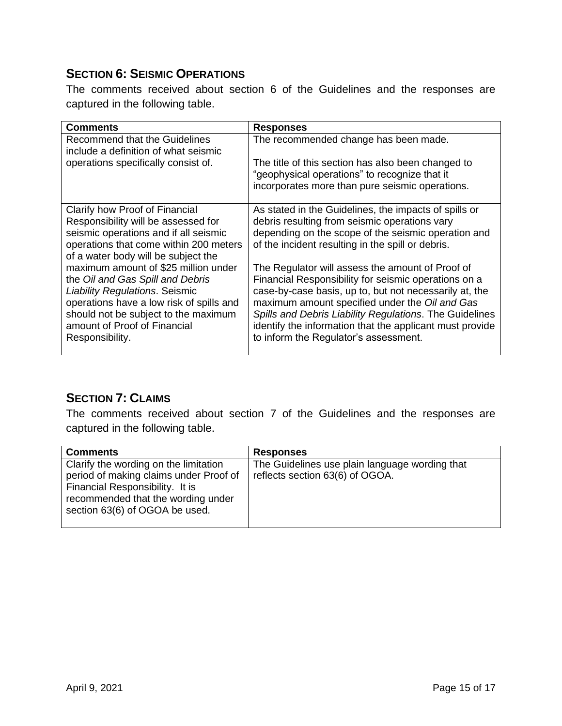#### <span id="page-16-0"></span>**SECTION 6: SEISMIC OPERATIONS**

The comments received about section 6 of the Guidelines and the responses are captured in the following table.

| Comments                                                                                                                                                                                                                                                 | <b>Responses</b>                                                                                                                                                                                                                                                                                                                                                                     |
|----------------------------------------------------------------------------------------------------------------------------------------------------------------------------------------------------------------------------------------------------------|--------------------------------------------------------------------------------------------------------------------------------------------------------------------------------------------------------------------------------------------------------------------------------------------------------------------------------------------------------------------------------------|
| Recommend that the Guidelines<br>include a definition of what seismic                                                                                                                                                                                    | The recommended change has been made.                                                                                                                                                                                                                                                                                                                                                |
| operations specifically consist of.                                                                                                                                                                                                                      | The title of this section has also been changed to<br>"geophysical operations" to recognize that it<br>incorporates more than pure seismic operations.                                                                                                                                                                                                                               |
| Clarify how Proof of Financial<br>Responsibility will be assessed for                                                                                                                                                                                    | As stated in the Guidelines, the impacts of spills or<br>debris resulting from seismic operations vary                                                                                                                                                                                                                                                                               |
| seismic operations and if all seismic<br>operations that come within 200 meters<br>of a water body will be subject the                                                                                                                                   | depending on the scope of the seismic operation and<br>of the incident resulting in the spill or debris.                                                                                                                                                                                                                                                                             |
| maximum amount of \$25 million under<br>the Oil and Gas Spill and Debris<br><b>Liability Regulations. Seismic</b><br>operations have a low risk of spills and<br>should not be subject to the maximum<br>amount of Proof of Financial<br>Responsibility. | The Regulator will assess the amount of Proof of<br>Financial Responsibility for seismic operations on a<br>case-by-case basis, up to, but not necessarily at, the<br>maximum amount specified under the Oil and Gas<br>Spills and Debris Liability Regulations. The Guidelines<br>identify the information that the applicant must provide<br>to inform the Regulator's assessment. |

#### <span id="page-16-1"></span>**SECTION 7: CLAIMS**

The comments received about section 7 of the Guidelines and the responses are captured in the following table.

| <b>Comments</b>                                                                                                                                                                            | <b>Responses</b>                                                                  |
|--------------------------------------------------------------------------------------------------------------------------------------------------------------------------------------------|-----------------------------------------------------------------------------------|
| Clarify the wording on the limitation<br>period of making claims under Proof of<br>Financial Responsibility. It is<br>recommended that the wording under<br>section 63(6) of OGOA be used. | The Guidelines use plain language wording that<br>reflects section 63(6) of OGOA. |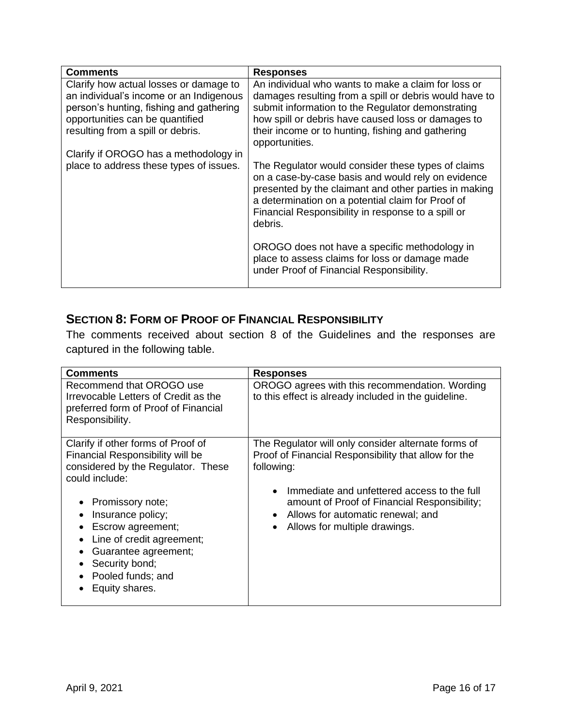| <b>Comments</b>                                                                                                       | <b>Responses</b>                                                                                                                                                                                                                                                                        |
|-----------------------------------------------------------------------------------------------------------------------|-----------------------------------------------------------------------------------------------------------------------------------------------------------------------------------------------------------------------------------------------------------------------------------------|
| Clarify how actual losses or damage to                                                                                | An individual who wants to make a claim for loss or                                                                                                                                                                                                                                     |
| an individual's income or an Indigenous<br>person's hunting, fishing and gathering<br>opportunities can be quantified | damages resulting from a spill or debris would have to<br>submit information to the Regulator demonstrating<br>how spill or debris have caused loss or damages to                                                                                                                       |
| resulting from a spill or debris.                                                                                     | their income or to hunting, fishing and gathering<br>opportunities.                                                                                                                                                                                                                     |
| Clarify if OROGO has a methodology in                                                                                 |                                                                                                                                                                                                                                                                                         |
| place to address these types of issues.                                                                               | The Regulator would consider these types of claims<br>on a case-by-case basis and would rely on evidence<br>presented by the claimant and other parties in making<br>a determination on a potential claim for Proof of<br>Financial Responsibility in response to a spill or<br>debris. |
|                                                                                                                       | OROGO does not have a specific methodology in<br>place to assess claims for loss or damage made<br>under Proof of Financial Responsibility.                                                                                                                                             |

#### <span id="page-17-0"></span>**SECTION 8: FORM OF PROOF OF FINANCIAL RESPONSIBILITY**

The comments received about section 8 of the Guidelines and the responses are captured in the following table.

| <b>Comments</b>                                                                                                                                                                                                        | <b>Responses</b>                                                                                                                                                                                                                                                                               |
|------------------------------------------------------------------------------------------------------------------------------------------------------------------------------------------------------------------------|------------------------------------------------------------------------------------------------------------------------------------------------------------------------------------------------------------------------------------------------------------------------------------------------|
| Recommend that OROGO use<br>Irrevocable Letters of Credit as the<br>preferred form of Proof of Financial<br>Responsibility.                                                                                            | OROGO agrees with this recommendation. Wording<br>to this effect is already included in the guideline.                                                                                                                                                                                         |
| Clarify if other forms of Proof of<br>Financial Responsibility will be<br>considered by the Regulator. These<br>could include:<br>Promissory note;<br>$\bullet$<br>Insurance policy;<br>$\bullet$<br>Escrow agreement; | The Regulator will only consider alternate forms of<br>Proof of Financial Responsibility that allow for the<br>following:<br>Immediate and unfettered access to the full<br>amount of Proof of Financial Responsibility;<br>Allows for automatic renewal; and<br>Allows for multiple drawings. |
| Line of credit agreement;<br>$\bullet$<br>Guarantee agreement;<br>٠<br>Security bond;<br>$\bullet$<br>Pooled funds; and<br>Equity shares.                                                                              |                                                                                                                                                                                                                                                                                                |